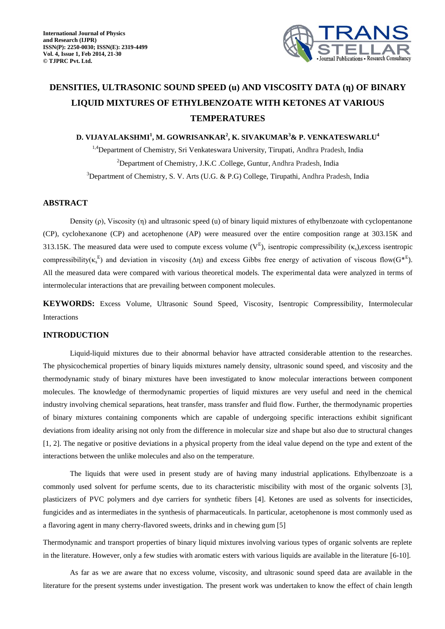

# **DENSITIES, ULTRASONIC SOUND SPEED (u) AND VISCOSITY DATA (η) OF BINARY LIQUID MIXTURES OF ETHYLBENZOATE WITH KETONES AT VARIOUS TEMPERATURES**

## **D. VIJAYALAKSHMI<sup>1</sup> , M. GOWRISANKAR<sup>2</sup> , K. SIVAKUMAR<sup>3</sup>& P. VENKATESWARLU<sup>4</sup>**

<sup>1,4</sup>Department of Chemistry, Sri Venkateswara University, Tirupati, Andhra Pradesh, India <sup>2</sup>Department of Chemistry, J.K.C. College, Guntur, Andhra Pradesh, India <sup>3</sup>Department of Chemistry, S. V. Arts (U.G. & P.G) College, Tirupathi, Andhra Pradesh, India

## **ABSTRACT**

Density (ρ), Viscosity (η) and ultrasonic speed (u) of binary liquid mixtures of ethylbenzoate with cyclopentanone (CP), cyclohexanone (CP) and acetophenone (AP) were measured over the entire composition range at 303.15K and 313.15K. The measured data were used to compute excess volume  $(V^E)$ , isentropic compressibility  $(\kappa_s)$ , excess isentropic compressibility( $\kappa_s^E$ ) and deviation in viscosity ( $\Delta \eta$ ) and excess Gibbs free energy of activation of viscous flow( $G^{*E}$ ). All the measured data were compared with various theoretical models. The experimental data were analyzed in terms of intermolecular interactions that are prevailing between component molecules.

**KEYWORDS:** Excess Volume, Ultrasonic Sound Speed, Viscosity, Isentropic Compressibility, Intermolecular Interactions

#### **INTRODUCTION**

Liquid-liquid mixtures due to their abnormal behavior have attracted considerable attention to the researches. The physicochemical properties of binary liquids mixtures namely density, ultrasonic sound speed, and viscosity and the thermodynamic study of binary mixtures have been investigated to know molecular interactions between component molecules. The knowledge of thermodynamic properties of liquid mixtures are very useful and need in the chemical industry involving chemical separations, heat transfer, mass transfer and fluid flow. Further, the thermodynamic properties of binary mixtures containing components which are capable of undergoing specific interactions exhibit significant deviations from ideality arising not only from the difference in molecular size and shape but also due to structural changes [1, 2]. The negative or positive deviations in a physical property from the ideal value depend on the type and extent of the interactions between the unlike molecules and also on the temperature.

The liquids that were used in present study are of having many industrial applications. Ethylbenzoate is a commonly used solvent for perfume scents, due to its characteristic miscibility with most of the organic solvents [3], plasticizers of PVC polymers and dye carriers for synthetic fibers [4]. Ketones are used as solvents for insecticides, fungicides and as intermediates in the synthesis of pharmaceuticals. In particular, acetophenone is most commonly used as a flavoring agent in many cherry-flavored sweets, drinks and in chewing gum [5]

Thermodynamic and transport properties of binary liquid mixtures involving various types of organic solvents are replete in the literature. However, only a few studies with aromatic esters with various liquids are available in the literature [6-10].

As far as we are aware that no excess volume, viscosity, and ultrasonic sound speed data are available in the literature for the present systems under investigation. The present work was undertaken to know the effect of chain length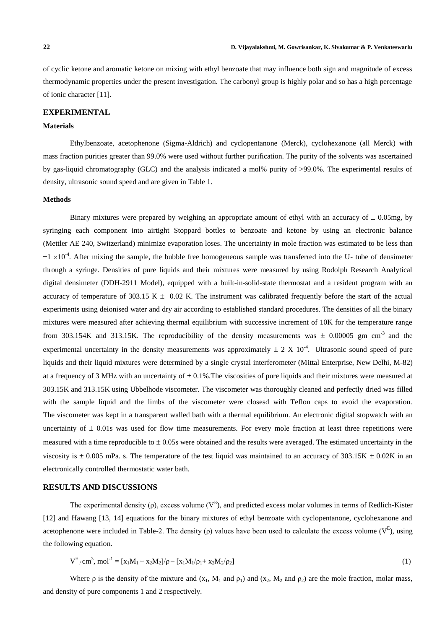of cyclic ketone and aromatic ketone on mixing with ethyl benzoate that may influence both sign and magnitude of excess thermodynamic properties under the present investigation. The carbonyl group is highly polar and so has a high percentage of ionic character [11].

## **EXPERIMENTAL**

### **Materials**

Ethylbenzoate, acetophenone (Sigma-Aldrich) and cyclopentanone (Merck), cyclohexanone (all Merck) with mass fraction purities greater than 99.0% were used without further purification. The purity of the solvents was ascertained by gas-liquid chromatography (GLC) and the analysis indicated a mol% purity of >99.0%. The experimental results of density, ultrasonic sound speed and are given in Table 1.

### **Methods**

Binary mixtures were prepared by weighing an appropriate amount of ethyl with an accuracy of  $\pm$  0.05mg, by syringing each component into airtight Stoppard bottles to benzoate and ketone by using an electronic balance (Mettler AE 240, Switzerland) minimize evaporation loses. The uncertainty in mole fraction was estimated to be less than  $\pm 1 \times 10^{-4}$ . After mixing the sample, the bubble free homogeneous sample was transferred into the U- tube of densimeter through a syringe. Densities of pure liquids and their mixtures were measured by using Rodolph Research Analytical digital densimeter (DDH-2911 Model), equipped with a built-in-solid-state thermostat and a resident program with an accuracy of temperature of 303.15 K  $\pm$  0.02 K. The instrument was calibrated frequently before the start of the actual experiments using deionised water and dry air according to established standard procedures. The densities of all the binary mixtures were measured after achieving thermal equilibrium with successive increment of 10K for the temperature range from 303.154K and 313.15K. The reproducibility of the density measurements was  $\pm$  0.00005 gm cm<sup>-3</sup> and the experimental uncertainty in the density measurements was approximately  $\pm 2 \text{ X } 10^{-4}$ . Ultrasonic sound speed of pure liquids and their liquid mixtures were determined by a single crystal interferometer (Mittal Enterprise, New Delhi, M-82) at a frequency of 3 MHz with an uncertainty of  $\pm$  0.1%. The viscosities of pure liquids and their mixtures were measured at 303.15K and 313.15K using Ubbelhode viscometer. The viscometer was thoroughly cleaned and perfectly dried was filled with the sample liquid and the limbs of the viscometer were closesd with Teflon caps to avoid the evaporation. The viscometer was kept in a transparent walled bath with a thermal equilibrium. An electronic digital stopwatch with an uncertainty of  $\pm$  0.01s was used for flow time measurements. For every mole fraction at least three repetitions were measured with a time reproducible to  $\pm 0.05$  were obtained and the results were averaged. The estimated uncertainty in the viscosity is  $\pm$  0.005 mPa. s. The temperature of the test liquid was maintained to an accuracy of 303.15K  $\pm$  0.02K in an electronically controlled thermostatic water bath.

## **RESULTS AND DISCUSSIONS**

The experimental density ( $\rho$ ), excess volume ( $V^E$ ), and predicted excess molar volumes in terms of Redlich-Kister [12] and Hawang [13, 14] equations for the binary mixtures of ethyl benzoate with cyclopentanone, cyclohexanone and acetophenone were included in Table-2. The density ( $\rho$ ) values have been used to calculate the excess volume ( $V^E$ ), using the following equation.

$$
V^{E}/cm^{3}, mol^{-1} = [x_{1}M_{1} + x_{2}M_{2}]/\rho - [x_{1}M_{1}/\rho_{1} + x_{2}M_{2}/\rho_{2}]
$$
\n(1)

Where  $\rho$  is the density of the mixture and  $(x_1, M_1 \text{ and } \rho_1)$  and  $(x_2, M_2 \text{ and } \rho_2)$  are the mole fraction, molar mass, and density of pure components 1 and 2 respectively.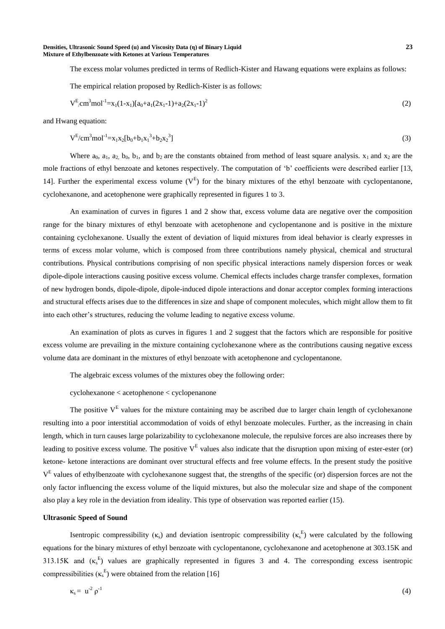The excess molar volumes predicted in terms of Redlich-Kister and Hawang equations were explains as follows:

The empirical relation proposed by Redlich-Kister is as follows:

$$
V^{E} \text{cm}^{3} \text{mol}^{-1} = x_{1}(1-x_{1})[a_{0}+a_{1}(2x_{1}-1)+a_{2}(2x_{1}-1)^{2}] \tag{2}
$$

and Hwang equation:

$$
V^{E}/cm^{3}mol^{-1} = x_{1}x_{2}[b_{0}+b_{1}x_{1}^{3}+b_{2}x_{2}^{3}]
$$
\n(3)

Where  $a_0$ ,  $a_1$ ,  $a_2$ ,  $b_0$ ,  $b_1$ , and  $b_2$  are the constants obtained from method of least square analysis.  $x_1$  and  $x_2$  are the mole fractions of ethyl benzoate and ketones respectively. The computation of 'b' coefficients were described earlier [13, 14]. Further the experimental excess volume  $(V^E)$  for the binary mixtures of the ethyl benzoate with cyclopentanone, cyclohexanone, and acetophenone were graphically represented in figures 1 to 3.

An examination of curves in figures 1 and 2 show that, excess volume data are negative over the composition range for the binary mixtures of ethyl benzoate with acetophenone and cyclopentanone and is positive in the mixture containing cyclohexanone. Usually the extent of deviation of liquid mixtures from ideal behavior is clearly expresses in terms of excess molar volume, which is composed from three contributions namely physical, chemical and structural contributions. Physical contributions comprising of non specific physical interactions namely dispersion forces or weak dipole-dipole interactions causing positive excess volume. Chemical effects includes charge transfer complexes, formation of new hydrogen bonds, dipole-dipole, dipole-induced dipole interactions and donar acceptor complex forming interactions and structural effects arises due to the differences in size and shape of component molecules, which might allow them to fit into each other's structures, reducing the volume leading to negative excess volume.

An examination of plots as curves in figures 1 and 2 suggest that the factors which are responsible for positive excess volume are prevailing in the mixture containing cyclohexanone where as the contributions causing negative excess volume data are dominant in the mixtures of ethyl benzoate with acetophenone and cyclopentanone.

The algebraic excess volumes of the mixtures obey the following order:

cyclohexanone < acetophenone < cyclopenanone

The positive  $V<sup>E</sup>$  values for the mixture containing may be ascribed due to larger chain length of cyclohexanone resulting into a poor interstitial accommodation of voids of ethyl benzoate molecules. Further, as the increasing in chain length, which in turn causes large polarizability to cyclohexanone molecule, the repulsive forces are also increases there by leading to positive excess volume. The positive  $V<sup>E</sup>$  values also indicate that the disruption upon mixing of ester-ester (or) ketone- ketone interactions are dominant over structural effects and free volume effects. In the present study the positive  $V<sup>E</sup>$  values of ethylbenzoate with cyclohexanone suggest that, the strengths of the specific (or) dispersion forces are not the only factor influencing the excess volume of the liquid mixtures, but also the molecular size and shape of the component also play a key role in the deviation from ideality. This type of observation was reported earlier (15).

#### **Ultrasonic Speed of Sound**

Isentropic compressibility ( $\kappa_s$ ) and deviation isentropic compressibility ( $\kappa_s^E$ ) were calculated by the following equations for the binary mixtures of ethyl benzoate with cyclopentanone, cyclohexanone and acetophenone at 303.15K and 313.15K and  $(\kappa_s^E)$  values are graphically represented in figures 3 and 4. The corresponding excess isentropic compressibilities ( $\kappa_s^E$ ) were obtained from the relation [16]

$$
\kappa_{\rm s} = \mathbf{u}^{\text{-2}} \, \rho^{\text{-1}} \tag{4}
$$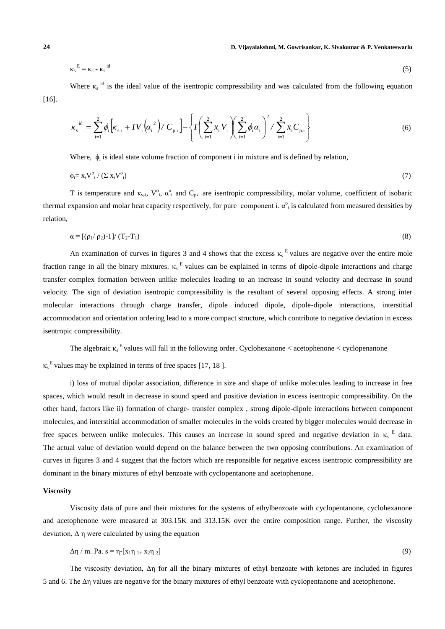**24 D. Vijayalakshmi, M. Gowrisankar, K. Sivakumar & P. Venkateswarlu**

$$
\kappa_{\rm s}^{\rm E} = \kappa_{\rm s} - \kappa_{\rm s}^{\rm id} \tag{5}
$$

Where  $\kappa_s$ <sup>id</sup> is the ideal value of the isentropic compressibility and was calculated from the following equation [16].

$$
\kappa_{\rm s}^{\rm id} = \sum_{\rm i=1}^{2} \phi_{\rm i} \left[ \kappa_{\rm s, i} + T V_{\rm i} \left( \alpha_{\rm i}^2 \right) / C_{\rm p, i} \right] - \left\{ T \left( \sum_{\rm i=1}^{2} x_{\rm i} V_{\rm i} \right) \left( \sum_{\rm i=1}^{2} \phi_{\rm i} \alpha_{\rm i} \right)^2 / \sum_{\rm i=1}^{2} x_{\rm i} C_{\rm p, i} \right\} \tag{6}
$$

Where,  $\phi_i$  is ideal state volume fraction of component i in mixture and is defined by relation,

$$
\phi_i = x_i V^{\circ}{}_{i} / (\Sigma x_i V^{\circ}{}_{i}) \tag{7}
$$

T is temperature and  $\kappa_{s,i}$ ,  $V^{\circ}_{i}$ ,  $\alpha^{\circ}_{i}$  and  $C_{p,i}$  are isentropic compressibility, molar volume, coefficient of isobaric thermal expansion and molar heat capacity respectively, for pure component i.  $\alpha^o$  is calculated from measured densities by relation,

$$
\alpha = [(\rho_1/\rho_2)-1]/(T_2-T_1) \tag{8}
$$

An examination of curves in figures 3 and 4 shows that the excess  $\kappa_s^E$  values are negative over the entire mole fraction range in all the binary mixtures.  $\kappa$ <sup>E</sup> values can be explained in terms of dipole-dipole interactions and charge transfer complex formation between unlike molecules leading to an increase in sound velocity and decrease in sound velocity. The sign of deviation isentropic compressibility is the resultant of several opposing effects. A strong inter molecular interactions through charge transfer, dipole induced dipole, dipole-dipole interactions, interstitial accommodation and orientation ordering lead to a more compact structure, which contribute to negative deviation in excess isentropic compressibility.

The algebraic  $\kappa_s^E$  values will fall in the following order. Cyclohexanone < acetophenone < cyclopenanone

 $\kappa$ <sup>E</sup> values may be explained in terms of free spaces [17, 18].

i) loss of mutual dipolar association, difference in size and shape of unlike molecules leading to increase in free spaces, which would result in decrease in sound speed and positive deviation in excess isentropic compressibility. On the other hand, factors like ii) formation of charge- transfer complex , strong dipole-dipole interactions between component molecules, and interstitial accommodation of smaller molecules in the voids created by bigger molecules would decrease in free spaces between unlike molecules. This causes an increase in sound speed and negative deviation in  $\kappa_s$ <sup>E</sup> data. The actual value of deviation would depend on the balance between the two opposing contributions. An examination of curves in figures 3 and 4 suggest that the factors which are responsible for negative excess isentropic compressibility are dominant in the binary mixtures of ethyl benzoate with cyclopentanone and acetophenone.

#### **Viscosity**

Viscosity data of pure and their mixtures for the systems of ethylbenzoate with cyclopentanone, cyclohexanone and acetophenone were measured at 303.15K and 313.15K over the entire composition range. Further, the viscosity deviation,  $\Delta \eta$  were calculated by using the equation

$$
\Delta \eta / m. Pa. s = \eta - [x_1 \eta_{1+} x_2 \eta_2]
$$
 (9)

The viscosity deviation, Δη for all the binary mixtures of ethyl benzoate with ketones are included in figures 5 and 6. The Δη values are negative for the binary mixtures of ethyl benzoate with cyclopentanone and acetophenone.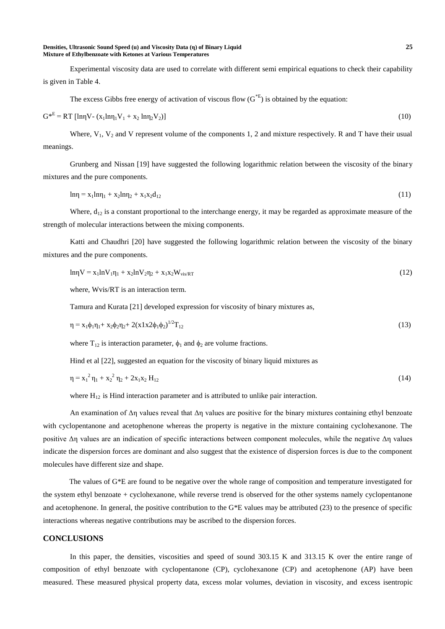#### **Densities, Ultrasonic Sound Speed (u) and Viscosity Data (η) of Binary Liquid 25 Mixture of Ethylbenzoate with Ketones at Various Temperatures**

Experimental viscosity data are used to correlate with different semi empirical equations to check their capability is given in Table 4.

The excess Gibbs free energy of activation of viscous flow  $(G^{*E})$  is obtained by the equation:

$$
G^*^E = RT [\ln \eta V - (x_1 \ln \eta_1 V_1 + x_2 \ln \eta_2 V_2)] \tag{10}
$$

Where,  $V_1$ ,  $V_2$  and V represent volume of the components 1, 2 and mixture respectively. R and T have their usual meanings.

Grunberg and Nissan [19] have suggested the following logarithmic relation between the viscosity of the binary mixtures and the pure components.

$$
ln \eta = x_1 ln \eta_1 + x_2 ln \eta_2 + x_1 x_2 d_{12}
$$
\n(11)

Where,  $d_{12}$  is a constant proportional to the interchange energy, it may be regarded as approximate measure of the strength of molecular interactions between the mixing components.

Katti and Chaudhri [20] have suggested the following logarithmic relation between the viscosity of the binary mixtures and the pure components.

$$
ln\gamma = x_1 lnV_1 \eta_1 + x_2 lnV_2 \eta_2 + x_1 x_2 W_{vis/RT}
$$
\n(12)

where, Wvis/RT is an interaction term.

Tamura and Kurata [21] developed expression for viscosity of binary mixtures as,

$$
\eta = x_1 \phi_1 \eta_1 + x_2 \phi_2 \eta_2 + 2(x 1 x 2 \phi_1 \phi_2)^{1/2} T_{12}
$$
\n(13)

where  $T_{12}$  is interaction parameter,  $\phi_1$  and  $\phi_2$  are volume fractions.

Hind et al [22], suggested an equation for the viscosity of binary liquid mixtures as

$$
\eta = x_1^2 \eta_1 + x_2^2 \eta_2 + 2x_1 x_2 H_{12}
$$
 (14)

where  $H_{12}$  is Hind interaction parameter and is attributed to unlike pair interaction.

An examination of  $\Delta$ η values reveal that  $\Delta$ η values are positive for the binary mixtures containing ethyl benzoate with cyclopentanone and acetophenone whereas the property is negative in the mixture containing cyclohexanone. The positive Δη values are an indication of specific interactions between component molecules, while the negative Δη values indicate the dispersion forces are dominant and also suggest that the existence of dispersion forces is due to the component molecules have different size and shape.

 The values of G\*E are found to be negative over the whole range of composition and temperature investigated for the system ethyl benzoate + cyclohexanone, while reverse trend is observed for the other systems namely cyclopentanone and acetophenone. In general, the positive contribution to the  $G*E$  values may be attributed (23) to the presence of specific interactions whereas negative contributions may be ascribed to the dispersion forces.

#### **CONCLUSIONS**

In this paper, the densities, viscosities and speed of sound 303.15 K and 313.15 K over the entire range of composition of ethyl benzoate with cyclopentanone (CP), cyclohexanone (CP) and acetophenone (AP) have been measured. These measured physical property data, excess molar volumes, deviation in viscosity, and excess isentropic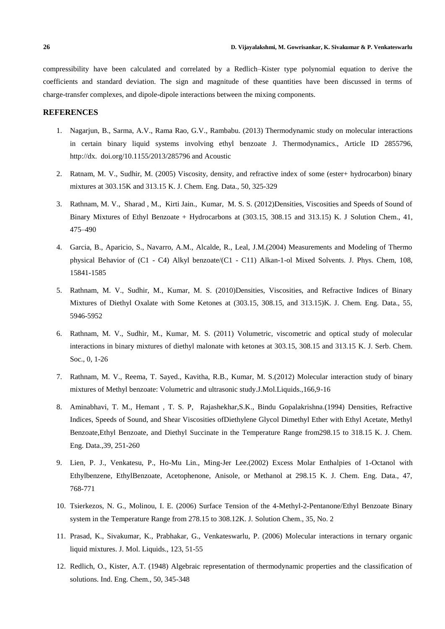compressibility have been calculated and correlated by a Redlich–Kister type polynomial equation to derive the coefficients and standard deviation. The sign and magnitude of these quantities have been discussed in terms of charge-transfer complexes, and dipole-dipole interactions between the mixing components.

## **REFERENCES**

- 1. Nagarjun, B., Sarma, A.V., Rama Rao, G.V., Rambabu. (2013) Thermodynamic study on molecular interactions in certain binary liquid systems involving ethyl benzoate J. Thermodynamics., Article ID 2855796, http://dx. doi.org/10.1155/2013/285796 and Acoustic
- 2. Ratnam, M. V., Sudhir, M. (2005) Viscosity, density, and refractive index of some (ester+ hydrocarbon) binary mixtures at 303.15K and 313.15 K. J. Chem. Eng. Data., 50, 325-329
- 3. Rathnam, M. V., Sharad , M., Kirti Jain., Kumar, M. S. S. (2012)Densities, Viscosities and Speeds of Sound of Binary Mixtures of Ethyl Benzoate + Hydrocarbons at (303.15, 308.15 and 313.15) K. J Solution Chem., 41, 475–490
- 4. Garcia, B., Aparicio, S., Navarro, A.M., Alcalde, R., Leal, J.M.(2004) Measurements and Modeling of Thermo physical Behavior of (C1 - C4) Alkyl benzoate/(C1 - C11) Alkan-1-ol Mixed Solvents. J. Phys. Chem, 108, 15841-1585
- 5. Rathnam, M. V., Sudhir, M., Kumar, M. S. (2010)Densities, Viscosities, and Refractive Indices of Binary Mixtures of Diethyl Oxalate with Some Ketones at (303.15, 308.15, and 313.15)K. J. Chem. Eng. Data., 55, 5946-5952
- 6. Rathnam, M. V., Sudhir, M., Kumar, M. S. (2011) Volumetric, viscometric and optical study of molecular interactions in binary mixtures of diethyl malonate with ketones at 303.15, 308.15 and 313.15 K. J. Serb. Chem. Soc., 0, 1-26
- 7. Rathnam, M. V., Reema, T. Sayed., Kavitha, R.B., Kumar, M. S.(2012) Molecular interaction study of binary mixtures of Methyl benzoate: Volumetric and ultrasonic study.J.Mol.Liquids.,166,9-16
- 8. Aminabhavi, T. M., Hemant , T. S. P, Rajashekhar,S.K., Bindu Gopalakrishna.(1994) Densities, Refractive Indices, Speeds of Sound, and Shear Viscosities ofDiethylene Glycol Dimethyl Ether with Ethyl Acetate, Methyl Benzoate,Ethyl Benzoate, and Diethyl Succinate in the Temperature Range from298.15 to 318.15 K. J. Chem. Eng. Data.,39, 251-260
- 9. Lien, P. J., Venkatesu, P., Ho-Mu Lin., Ming-Jer Lee.(2002) Excess Molar Enthalpies of 1-Octanol with Ethylbenzene, EthylBenzoate, Acetophenone, Anisole, or Methanol at 298.15 K. J. Chem. Eng. Data., 47, 768-771
- 10. Tsierkezos, N. G., Molinou, I. E. (2006) Surface Tension of the 4-Methyl-2-Pentanone/Ethyl Benzoate Binary system in the Temperature Range from 278.15 to 308.12K. J. Solution Chem., 35, No. 2
- 11. Prasad, K., Sivakumar, K., Prabhakar, G., Venkateswarlu, P. (2006) Molecular interactions in ternary organic liquid mixtures. J. Mol. Liquids., 123, 51-55
- 12. Redlich, O., Kister, A.T. (1948) Algebraic representation of thermodynamic properties and the classification of solutions. Ind. Eng. Chem., 50, 345-348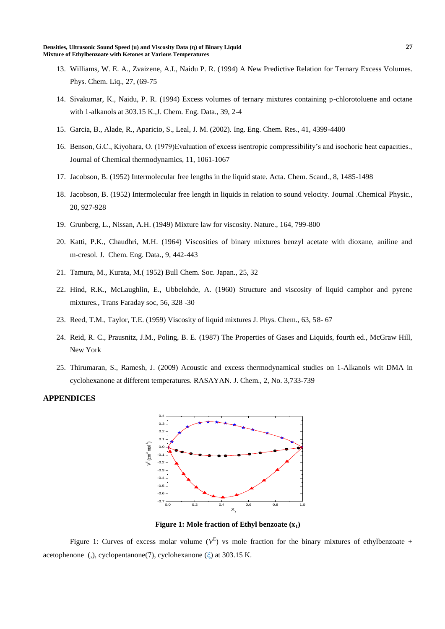- 13. Williams, W. E. A., Zvaizene, A.I., Naidu P. R. (1994) A New Predictive Relation for Ternary Excess Volumes. Phys. Chem. Liq., 27, (69-75
- 14. Sivakumar, K., Naidu, P. R. (1994) Excess volumes of ternary mixtures containing p-chlorotoluene and octane with 1-alkanols at 303.15 K.,J. Chem. Eng. Data., 39, 2-4
- 15. Garcia, B., Alade, R., Aparicio, S., Leal, J. M. (2002). Ing. Eng. Chem. Res., 41, 4399-4400
- 16. Benson, G.C., Kiyohara, O. (1979)Evaluation of excess isentropic compressibility's and isochoric heat capacities., Journal of Chemical thermodynamics, 11, 1061-1067
- 17. Jacobson, B. (1952) Intermolecular free lengths in the liquid state. Acta. Chem. Scand., 8, 1485-1498
- 18. Jacobson, B. (1952) Intermolecular free length in liquids in relation to sound velocity. Journal .Chemical Physic., 20, 927-928
- 19. Grunberg, L., Nissan, A.H. (1949) Mixture law for viscosity. Nature., 164, 799-800
- 20. Katti, P.K., Chaudhri, M.H. (1964) Viscosities of binary mixtures benzyl acetate with dioxane, aniline and m-cresol. J. Chem. Eng. Data., 9, 442-443
- 21. Tamura, M., Kurata, M.( 1952) Bull Chem. Soc. Japan., 25, 32
- 22. Hind, R.K., McLaughlin, E., Ubbelohde, A. (1960) Structure and viscosity of liquid camphor and pyrene mixtures., Trans Faraday soc, 56, 328 -30
- 23. Reed, T.M., Taylor, T.E. (1959) Viscosity of liquid mixtures J. Phys. Chem., 63, 58- 67
- 24. Reid, R. C., Prausnitz, J.M., Poling, B. E. (1987) The Properties of Gases and Liquids, fourth ed., McGraw Hill, New York
- 25. Thirumaran, S., Ramesh, J. (2009) Acoustic and excess thermodynamical studies on 1-Alkanols wit DMA in cyclohexanone at different temperatures. RASAYAN. J. Chem., 2, No. 3,733-739

#### **APPENDICES**



**Figure 1: Mole fraction of Ethyl benzoate (x1)**

Figure 1: Curves of excess molar volume  $(V^E)$  vs mole fraction for the binary mixtures of ethylbenzoate + acetophenone (,), cyclopentanone(7), cyclohexanone ( $\xi$ ) at 303.15 K.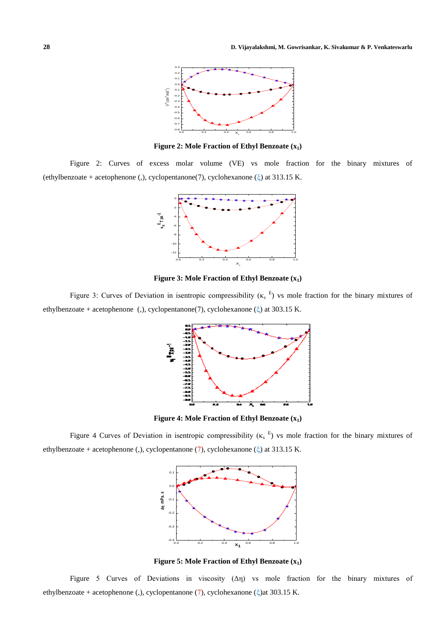

**Figure 2: Mole Fraction of Ethyl Benzoate (x1)**

Figure 2: Curves of excess molar volume (VE) vs mole fraction for the binary mixtures of (ethylbenzoate + acetophenone (,), cyclopentanone(7), cyclohexanone ( $\xi$ ) at 313.15 K.



**Figure 3: Mole Fraction of Ethyl Benzoate (x1)**

Figure 3: Curves of Deviation in isentropic compressibility ( $\kappa$ <sub>s</sub><sup>E</sup>) vs mole fraction for the binary mixtures of ethylbenzoate + acetophenone (,), cyclopentanone(7), cyclohexanone ( $\xi$ ) at 303.15 K.



**Figure 4: Mole Fraction of Ethyl Benzoate (x1)**

Figure 4 Curves of Deviation in isentropic compressibility  $(\kappa_s^E)$  vs mole fraction for the binary mixtures of ethylbenzoate + acetophenone (,), cyclopentanone (7), cyclohexanone ( $\xi$ ) at 313.15 K.



**Figure 5: Mole Fraction of Ethyl Benzoate (x1)**

Figure 5 Curves of Deviations in viscosity  $(\Delta \eta)$  vs mole fraction for the binary mixtures of ethylbenzoate + acetophenone (,), cyclopentanone (7), cyclohexanone ( $\xi$ )at 303.15 K.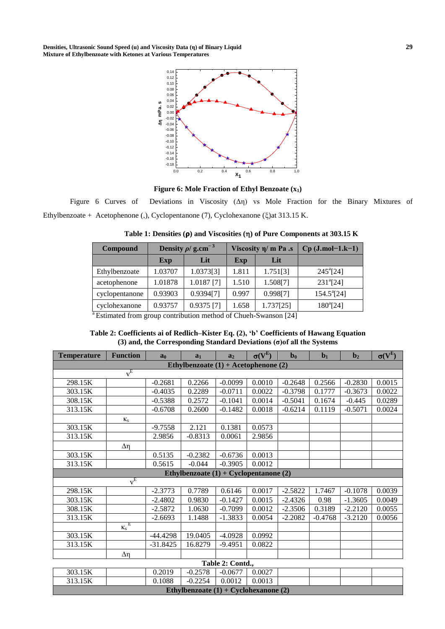**Densities, Ultrasonic Sound Speed (u) and Viscosity Data (η) of Binary Liquid 29 Mixture of Ethylbenzoate with Ketones at Various Temperatures**





Figure 6 Curves of Deviations in Viscosity (Δη) vs Mole Fraction for the Binary Mixtures of Ethylbenzoate + Acetophenone (,), Cyclopentanone (7), Cyclohexanone ( $\xi$ )at 313.15 K.

| <b>Compound</b> |         | Density $\rho$ / g.cm <sup>-3</sup> |       | Viscosity $\eta$ m Pa .s | $Cp$ (J.mol-1.k-1)  |  |  |
|-----------------|---------|-------------------------------------|-------|--------------------------|---------------------|--|--|
|                 | Exp     | Lit                                 | Exp   | Lit                      |                     |  |  |
| Ethylbenzoate   | 1.03707 | 1.0373[3]                           | 1.811 | 1.751[3]                 | $245^{\circ}$ [24]  |  |  |
| acetophenone    | 1.01878 | $1.0187$ <sup>[7]</sup>             | 1.510 | 1.508[7]                 | $231^{a}$ [24]      |  |  |
| cyclopentanone  | 0.93903 | 0.9394[7]                           | 0.997 | 0.998[7]                 | $154.5^{\circ}[24]$ |  |  |
| cyclohexanone   | 0.93757 | $0.9375$ <sup>[7]</sup>             | 1.658 | 1.737[25]                | $180^{a}$ [24]      |  |  |

Table 1: Densities ( $\rho$ ) and Viscosities ( $\eta$ ) of Pure Components at 303.15 K

Estimated from group contribution method of Chueh-Swanson [24]

## **Table 2: Coefficients ai of Redlich–Kister Eq. (2), 'b' Coefficients of Hawang Equation (3) and, the Corresponding Standard Deviations (σ)of all the Systems**

| <b>Temperature</b>                       | <b>Function</b>       | a <sub>0</sub> | a <sub>1</sub>                           | a <sub>2</sub>   | $\sigma(V^E)$ | $\mathbf{b}_0$ | $b1$      | $\mathbf{b}_2$ | $\sigma(V^E)$ |
|------------------------------------------|-----------------------|----------------|------------------------------------------|------------------|---------------|----------------|-----------|----------------|---------------|
| Ethylbenzoate $(1) +$ Acetophenone $(2)$ |                       |                |                                          |                  |               |                |           |                |               |
|                                          | $v^E$                 |                |                                          |                  |               |                |           |                |               |
| 298.15K                                  |                       | $-0.2681$      | 0.2266                                   | $-0.0099$        | 0.0010        | $-0.2648$      | 0.2566    | $-0.2830$      | 0.0015        |
| 303.15K                                  |                       | $-0.4035$      | 0.2289                                   | $-0.0711$        | 0.0022        | $-0.3798$      | 0.1777    | $-0.3673$      | 0.0022        |
| 308.15K                                  |                       | $-0.5388$      | 0.2572                                   | $-0.1041$        | 0.0014        | $-0.5041$      | 0.1674    | $-0.445$       | 0.0289        |
| 313.15K                                  |                       | $-0.6708$      | 0.2600                                   | $-0.1482$        | 0.0018        | $-0.6214$      | 0.1119    | $-0.5071$      | 0.0024        |
|                                          | $\kappa_{\rm s}$      |                |                                          |                  |               |                |           |                |               |
| 303.15K                                  |                       | $-9.7558$      | 2.121                                    | 0.1381           | 0.0573        |                |           |                |               |
| 313.15K                                  |                       | 2.9856         | $-0.8313$                                | 0.0061           | 2.9856        |                |           |                |               |
|                                          | Δη                    |                |                                          |                  |               |                |           |                |               |
| 303.15K                                  |                       | 0.5135         | $-0.2382$                                | $-0.6736$        | 0.0013        |                |           |                |               |
| 313.15K                                  |                       | 0.5615         | $-0.044$                                 | $-0.3905$        | 0.0012        |                |           |                |               |
|                                          |                       |                | Ethylbenzoate $(1) + Cyclopentanone (2)$ |                  |               |                |           |                |               |
|                                          | $v^{\hat{E}}$         |                |                                          |                  |               |                |           |                |               |
| 298.15K                                  |                       | $-2.3773$      | 0.7789                                   | 0.6146           | 0.0017        | $-2.5822$      | 1.7467    | $-0.1078$      | 0.0039        |
| 303.15K                                  |                       | $-2.4802$      | 0.9830                                   | $-0.1427$        | 0.0015        | $-2.4326$      | 0.98      | $-1.3605$      | 0.0049        |
| 308.15K                                  |                       | $-2.5872$      | 1.0630                                   | $-0.7099$        | 0.0012        | $-2.3506$      | 0.3189    | $-2.2120$      | 0.0055        |
| 313.15K                                  |                       | $-2.6693$      | 1.1488                                   | $-1.3833$        | 0.0054        | $-2.2082$      | $-0.4768$ | $-3.2120$      | 0.0056        |
|                                          | Ε<br>$\kappa_{\rm s}$ |                |                                          |                  |               |                |           |                |               |
| 303.15K                                  |                       | $-44.4298$     | 19.0405                                  | $-4.0928$        | 0.0992        |                |           |                |               |
| 313.15K                                  |                       | $-31.8425$     | 16.8279                                  | $-9.4951$        | 0.0822        |                |           |                |               |
|                                          | Δη                    |                |                                          |                  |               |                |           |                |               |
|                                          |                       |                |                                          | Table 2: Contd., |               |                |           |                |               |
| 303.15K                                  |                       | 0.2019         | $-0.2578$                                | $-0.0677$        | 0.0027        |                |           |                |               |
| 313.15K                                  |                       | 0.1088         | $-0.2254$                                | 0.0012           | 0.0013        |                |           |                |               |
| Ethylbenzoate $(1) + Cyclohexanone (2)$  |                       |                |                                          |                  |               |                |           |                |               |